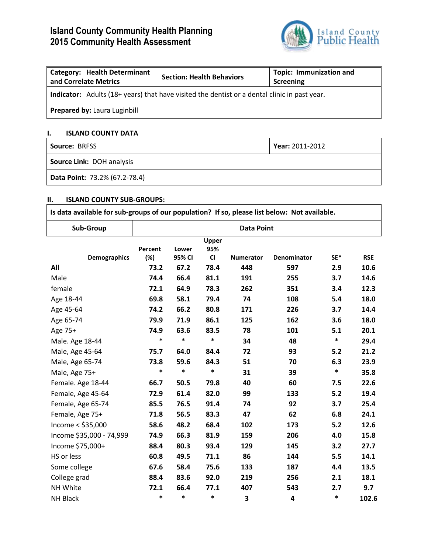# **Island County Community Health Planning 2015 Community Health Assessment**



| <b>Category: Health Determinant</b><br>and Correlate Metrics                                        | <b>Section: Health Behaviors</b> | <b>Topic: Immunization and</b><br>Screening |  |  |  |
|-----------------------------------------------------------------------------------------------------|----------------------------------|---------------------------------------------|--|--|--|
| <b>Indicator:</b> Adults (18+ years) that have visited the dentist or a dental clinic in past year. |                                  |                                             |  |  |  |
| <b>Prepared by: Laura Luginbill</b>                                                                 |                                  |                                             |  |  |  |

## **I. ISLAND COUNTY DATA**

| Source: BRFSS                 | Year: 2011-2012 |
|-------------------------------|-----------------|
| Source Link: DOH analysis     |                 |
| Data Point: 73.2% (67.2-78.4) |                 |

# **II. ISLAND COUNTY SUB-GROUPS:**

| Is data available for sub-groups of our population? If so, please list below: Not available. |                   |                 |                    |                  |             |        |            |  |  |
|----------------------------------------------------------------------------------------------|-------------------|-----------------|--------------------|------------------|-------------|--------|------------|--|--|
| Sub-Group                                                                                    | <b>Data Point</b> |                 |                    |                  |             |        |            |  |  |
| <b>Demographics</b>                                                                          | Percent<br>(%)    | Lower<br>95% CI | Upper<br>95%<br>CI | <b>Numerator</b> | Denominator | SE*    | <b>RSE</b> |  |  |
| All                                                                                          | 73.2              | 67.2            | 78.4               | 448              | 597         | 2.9    | 10.6       |  |  |
| Male                                                                                         | 74.4              | 66.4            | 81.1               | 191              | 255         | 3.7    | 14.6       |  |  |
| female                                                                                       | 72.1              | 64.9            | 78.3               | 262              | 351         | 3.4    | 12.3       |  |  |
| Age 18-44                                                                                    | 69.8              | 58.1            | 79.4               | 74               | 108         | 5.4    | 18.0       |  |  |
| Age 45-64                                                                                    | 74.2              | 66.2            | 80.8               | 171              | 226         | 3.7    | 14.4       |  |  |
| Age 65-74                                                                                    | 79.9              | 71.9            | 86.1               | 125              | 162         | 3.6    | 18.0       |  |  |
| Age 75+                                                                                      | 74.9              | 63.6            | 83.5               | 78               | 101         | 5.1    | 20.1       |  |  |
| Male. Age 18-44                                                                              | $\ast$            | *               | $\ast$             | 34               | 48          | $\ast$ | 29.4       |  |  |
| Male, Age 45-64                                                                              | 75.7              | 64.0            | 84.4               | 72               | 93          | 5.2    | 21.2       |  |  |
| Male, Age 65-74                                                                              | 73.8              | 59.6            | 84.3               | 51               | 70          | 6.3    | 23.9       |  |  |
| Male, Age 75+                                                                                | *                 | *               | $\ast$             | 31               | 39          | $\ast$ | 35.8       |  |  |
| Female. Age 18-44                                                                            | 66.7              | 50.5            | 79.8               | 40               | 60          | 7.5    | 22.6       |  |  |
| Female, Age 45-64                                                                            | 72.9              | 61.4            | 82.0               | 99               | 133         | 5.2    | 19.4       |  |  |
| Female, Age 65-74                                                                            | 85.5              | 76.5            | 91.4               | 74               | 92          | 3.7    | 25.4       |  |  |
| Female, Age 75+                                                                              | 71.8              | 56.5            | 83.3               | 47               | 62          | 6.8    | 24.1       |  |  |
| Income $<$ \$35,000                                                                          | 58.6              | 48.2            | 68.4               | 102              | 173         | 5.2    | 12.6       |  |  |
| Income \$35,000 - 74,999                                                                     | 74.9              | 66.3            | 81.9               | 159              | 206         | 4.0    | 15.8       |  |  |
| Income \$75,000+                                                                             | 88.4              | 80.3            | 93.4               | 129              | 145         | 3.2    | 27.7       |  |  |
| HS or less                                                                                   | 60.8              | 49.5            | 71.1               | 86               | 144         | 5.5    | 14.1       |  |  |
| Some college                                                                                 | 67.6              | 58.4            | 75.6               | 133              | 187         | 4.4    | 13.5       |  |  |
| College grad                                                                                 | 88.4              | 83.6            | 92.0               | 219              | 256         | 2.1    | 18.1       |  |  |
| NH White                                                                                     | 72.1              | 66.4            | 77.1               | 407              | 543         | 2.7    | 9.7        |  |  |
| NH Black                                                                                     | *                 | *               | $\ast$             | 3                | 4           | $\ast$ | 102.6      |  |  |